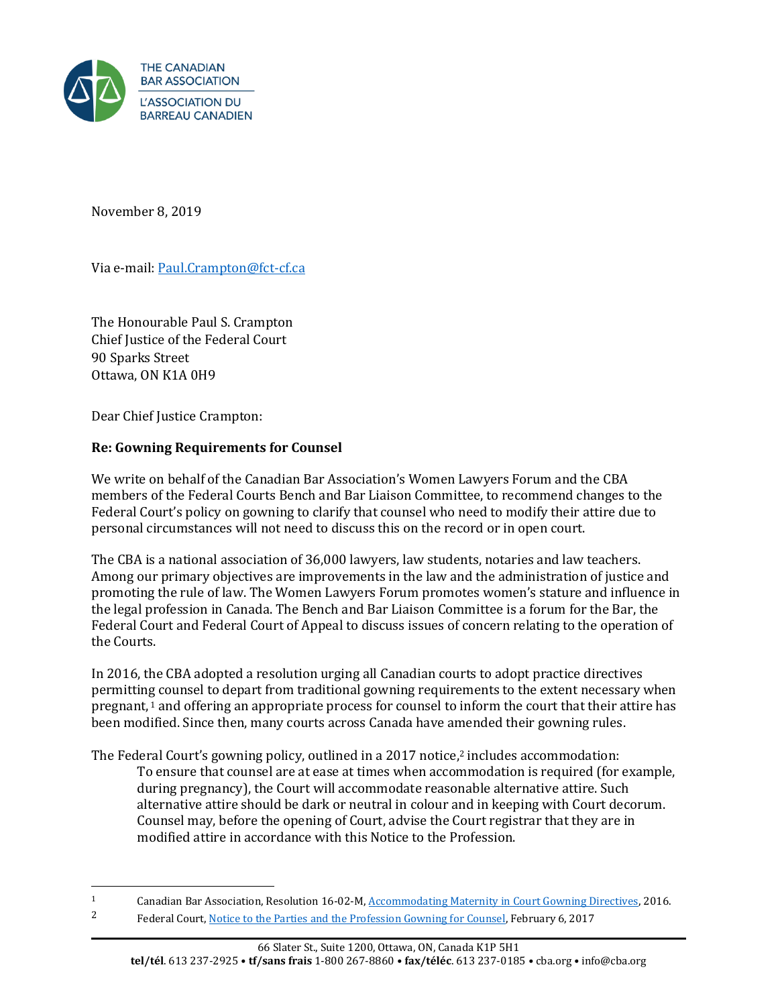

November 8, 2019

Via e-mail[: Paul.Crampton@fct-cf.ca](mailto:Paul.Crampton@fct-cf.ca)

The Honourable Paul S. Crampton Chief Justice of the Federal Court 90 Sparks Street Ottawa, ON K1A 0H9

Dear Chief Justice Crampton:

## **Re: Gowning Requirements for Counsel**

We write on behalf of the Canadian Bar Association's Women Lawyers Forum and the CBA members of the Federal Courts Bench and Bar Liaison Committee, to recommend changes to the Federal Court's policy on gowning to clarify that counsel who need to modify their attire due to personal circumstances will not need to discuss this on the record or in open court.

The CBA is a national association of 36,000 lawyers, law students, notaries and law teachers. Among our primary objectives are improvements in the law and the administration of justice and promoting the rule of law. The Women Lawyers Forum promotes women's stature and influence in the legal profession in Canada. The Bench and Bar Liaison Committee is a forum for the Bar, the Federal Court and Federal Court of Appeal to discuss issues of concern relating to the operation of the Courts.

In 2016, the CBA adopted a resolution urging all Canadian courts to adopt practice directives permitting counsel to depart from traditional gowning requirements to the extent necessary when pregnant, <sup>1</sup> and offering an appropriate process for counsel to inform the court that their attire has been modified. Since then, many courts across Canada have amended their gowning rules.

The Federal Court's gowning policy, outlined in a 2017 notice, <sup>2</sup> includes accommodation: To ensure that counsel are at ease at times when accommodation is required (for example, during pregnancy), the Court will accommodate reasonable alternative attire. Such alternative attire should be dark or neutral in colour and in keeping with Court decorum. Counsel may, before the opening of Court, advise the Court registrar that they are in modified attire in accordance with this Notice to the Profession.

<sup>&</sup>lt;sup>1</sup> Canadian Bar Association, Resolution 16-02-M[, Accommodating Maternity in Court Gowning Directives,](https://www.cba.org/getattachment/Our-Work/Resolutions/Resolutions/2016/Accommodating-Maternity-in-Court-Gowning-Directive/Accommodating-Maternity-in-Court-Gowning-Directives.pdf) 2016.

<sup>2</sup> Federal Court[, Notice to the Parties and the Profession Gowning for Counsel,](https://www.fct-cf.gc.ca/content/assets/pdf/base/Notice%20-%20gowning%202017%20final%20(ENG)%20-%20w%20typed%20signature.pdf) February 6, 2017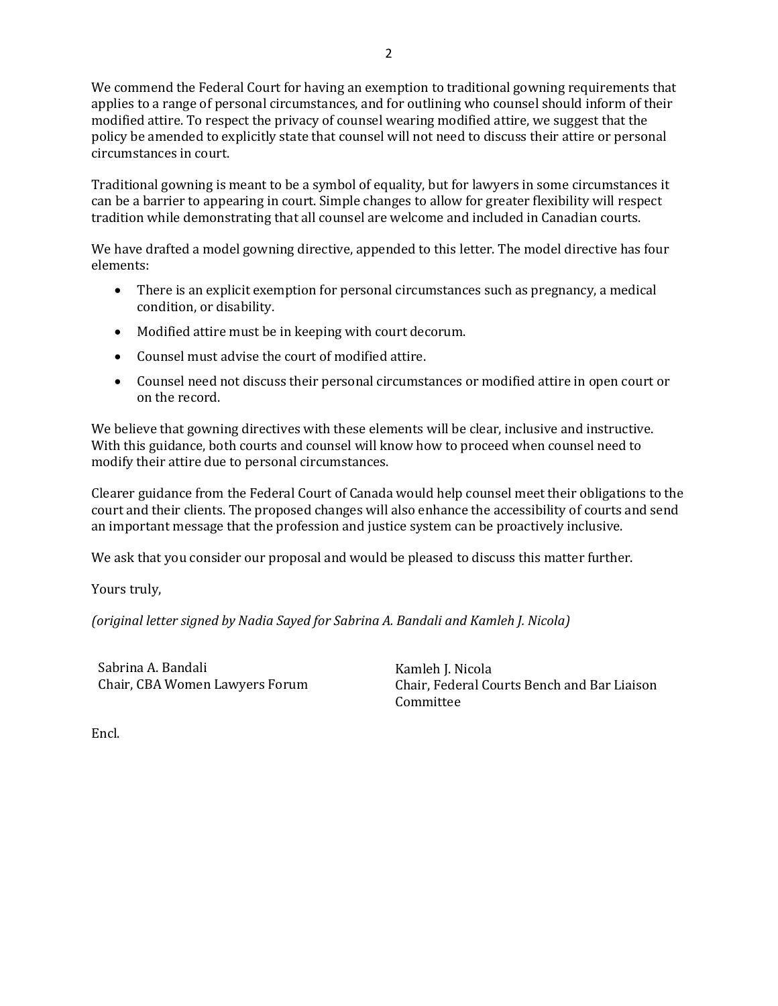We commend the Federal Court for having an exemption to traditional gowning requirements that applies to a range of personal circumstances, and for outlining who counsel should inform of their modified attire. To respect the privacy of counsel wearing modified attire, we suggest that the policy be amended to explicitly state that counsel will not need to discuss their attire or personal circumstances in court.

Traditional gowning is meant to be a symbol of equality, but for lawyers in some circumstances it can be a barrier to appearing in court. Simple changes to allow for greater flexibility will respect tradition while demonstrating that all counsel are welcome and included in Canadian courts.

We have drafted a model gowning directive, appended to this letter. The model directive has four elements:

- There is an explicit exemption for personal circumstances such as pregnancy, a medical condition, or disability.
- Modified attire must be in keeping with court decorum.
- Counsel must advise the court of modified attire.
- Counsel need not discuss their personal circumstances or modified attire in open court or on the record.

We believe that gowning directives with these elements will be clear, inclusive and instructive. With this guidance, both courts and counsel will know how to proceed when counsel need to modify their attire due to personal circumstances.

Clearer guidance from the Federal Court of Canada would help counsel meet their obligations to the court and their clients. The proposed changes will also enhance the accessibility of courts and send an important message that the profession and justice system can be proactively inclusive.

We ask that you consider our proposal and would be pleased to discuss this matter further.

Yours truly,

*(original letter signed by Nadia Sayed for Sabrina A. Bandali and Kamleh J. Nicola)*

Sabrina A. Bandali Chair, CBA Women Lawyers Forum Kamleh J. Nicola Chair, Federal Courts Bench and Bar Liaison Committee

Encl.